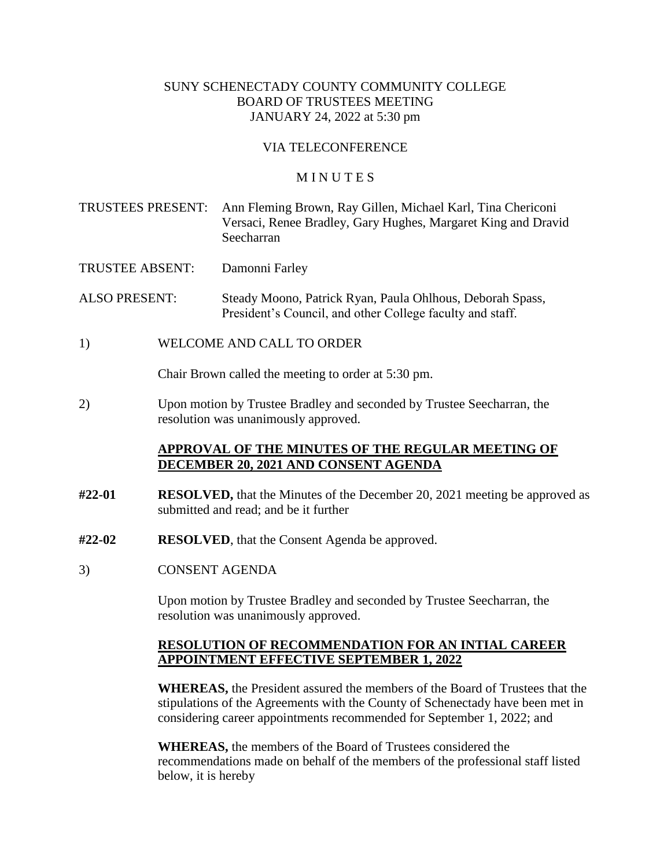### SUNY SCHENECTADY COUNTY COMMUNITY COLLEGE BOARD OF TRUSTEES MEETING JANUARY 24, 2022 at 5:30 pm

#### VIA TELECONFERENCE

#### **MINUTES**

TRUSTEES PRESENT: Ann Fleming Brown, Ray Gillen, Michael Karl, Tina Chericoni Versaci, Renee Bradley, Gary Hughes, Margaret King and Dravid Seecharran

TRUSTEE ABSENT: Damonni Farley

ALSO PRESENT: Steady Moono, Patrick Ryan, Paula Ohlhous, Deborah Spass, President's Council, and other College faculty and staff.

1) WELCOME AND CALL TO ORDER

Chair Brown called the meeting to order at 5:30 pm.

2) Upon motion by Trustee Bradley and seconded by Trustee Seecharran, the resolution was unanimously approved.

#### **APPROVAL OF THE MINUTES OF THE REGULAR MEETING OF DECEMBER 20, 2021 AND CONSENT AGENDA**

- **#22-01 RESOLVED,** that the Minutes of the December 20, 2021 meeting be approved as submitted and read; and be it further
- **#22-02 RESOLVED**, that the Consent Agenda be approved.
- 3) CONSENT AGENDA

Upon motion by Trustee Bradley and seconded by Trustee Seecharran, the resolution was unanimously approved.

#### **RESOLUTION OF RECOMMENDATION FOR AN INTIAL CAREER APPOINTMENT EFFECTIVE SEPTEMBER 1, 2022**

**WHEREAS,** the President assured the members of the Board of Trustees that the stipulations of the Agreements with the County of Schenectady have been met in considering career appointments recommended for September 1, 2022; and

**WHEREAS,** the members of the Board of Trustees considered the recommendations made on behalf of the members of the professional staff listed below, it is hereby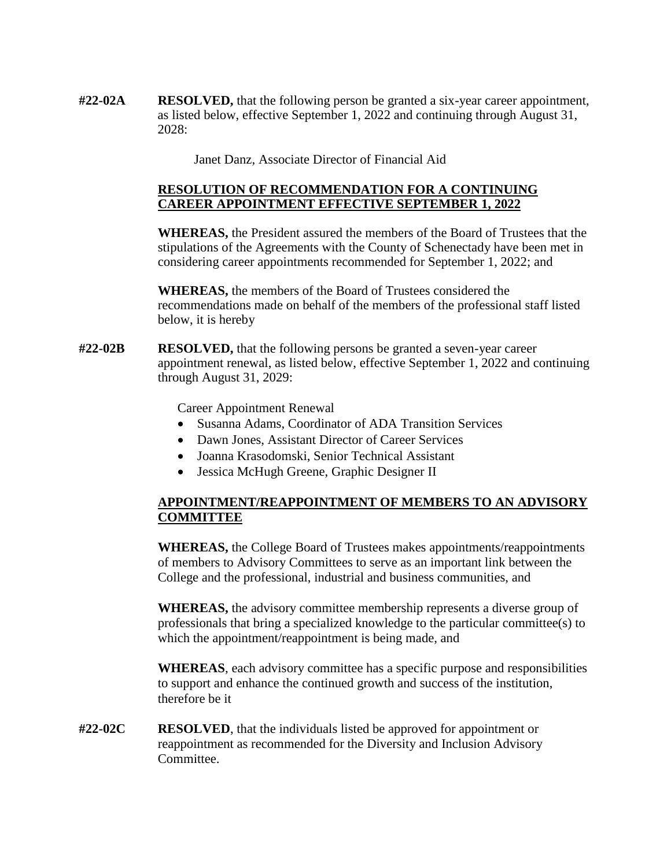**#22-02A RESOLVED,** that the following person be granted a six-year career appointment, as listed below, effective September 1, 2022 and continuing through August 31, 2028:

Janet Danz, Associate Director of Financial Aid

## **RESOLUTION OF RECOMMENDATION FOR A CONTINUING CAREER APPOINTMENT EFFECTIVE SEPTEMBER 1, 2022**

**WHEREAS,** the President assured the members of the Board of Trustees that the stipulations of the Agreements with the County of Schenectady have been met in considering career appointments recommended for September 1, 2022; and

**WHEREAS,** the members of the Board of Trustees considered the recommendations made on behalf of the members of the professional staff listed below, it is hereby

**#22-02B RESOLVED,** that the following persons be granted a seven-year career appointment renewal, as listed below, effective September 1, 2022 and continuing through August 31, 2029:

Career Appointment Renewal

- Susanna Adams, Coordinator of ADA Transition Services
- Dawn Jones, Assistant Director of Career Services
- Joanna Krasodomski, Senior Technical Assistant
- Jessica McHugh Greene, Graphic Designer II

# **APPOINTMENT/REAPPOINTMENT OF MEMBERS TO AN ADVISORY COMMITTEE**

**WHEREAS,** the College Board of Trustees makes appointments/reappointments of members to Advisory Committees to serve as an important link between the College and the professional, industrial and business communities, and

**WHEREAS,** the advisory committee membership represents a diverse group of professionals that bring a specialized knowledge to the particular committee(s) to which the appointment/reappointment is being made, and

**WHEREAS**, each advisory committee has a specific purpose and responsibilities to support and enhance the continued growth and success of the institution, therefore be it

**#22-02C RESOLVED**, that the individuals listed be approved for appointment or reappointment as recommended for the Diversity and Inclusion Advisory Committee.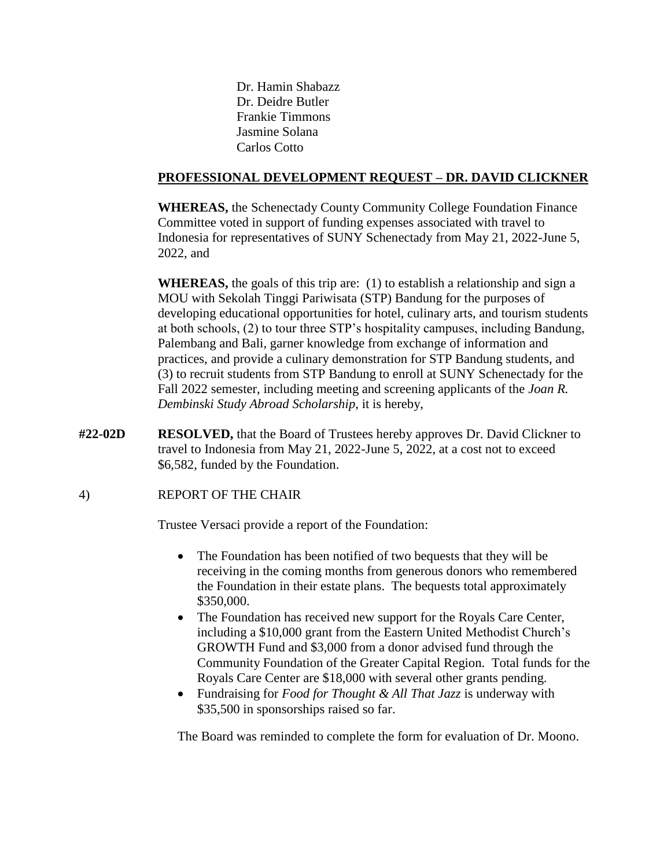Dr. Hamin Shabazz Dr. Deidre Butler Frankie Timmons Jasmine Solana Carlos Cotto

## **PROFESSIONAL DEVELOPMENT REQUEST – DR. DAVID CLICKNER**

 **WHEREAS,** the Schenectady County Community College Foundation Finance Committee voted in support of funding expenses associated with travel to Indonesia for representatives of SUNY Schenectady from May 21, 2022-June 5, 2022, and

**WHEREAS,** the goals of this trip are: (1) to establish a relationship and sign a MOU with Sekolah Tinggi Pariwisata (STP) Bandung for the purposes of developing educational opportunities for hotel, culinary arts, and tourism students at both schools, (2) to tour three STP's hospitality campuses, including Bandung, Palembang and Bali, garner knowledge from exchange of information and practices, and provide a culinary demonstration for STP Bandung students, and (3) to recruit students from STP Bandung to enroll at SUNY Schenectady for the Fall 2022 semester, including meeting and screening applicants of the *Joan R. Dembinski Study Abroad Scholarship*, it is hereby,

**#22-02D RESOLVED,** that the Board of Trustees hereby approves Dr. David Clickner to travel to Indonesia from May 21, 2022-June 5, 2022, at a cost not to exceed \$6,582, funded by the Foundation.

# 4) REPORT OF THE CHAIR

Trustee Versaci provide a report of the Foundation:

- The Foundation has been notified of two bequests that they will be receiving in the coming months from generous donors who remembered the Foundation in their estate plans. The bequests total approximately \$350,000.
- The Foundation has received new support for the Royals Care Center, including a \$10,000 grant from the Eastern United Methodist Church's GROWTH Fund and \$3,000 from a donor advised fund through the Community Foundation of the Greater Capital Region. Total funds for the Royals Care Center are \$18,000 with several other grants pending.
- Fundraising for *Food for Thought & All That Jazz* is underway with \$35,500 in sponsorships raised so far.

The Board was reminded to complete the form for evaluation of Dr. Moono.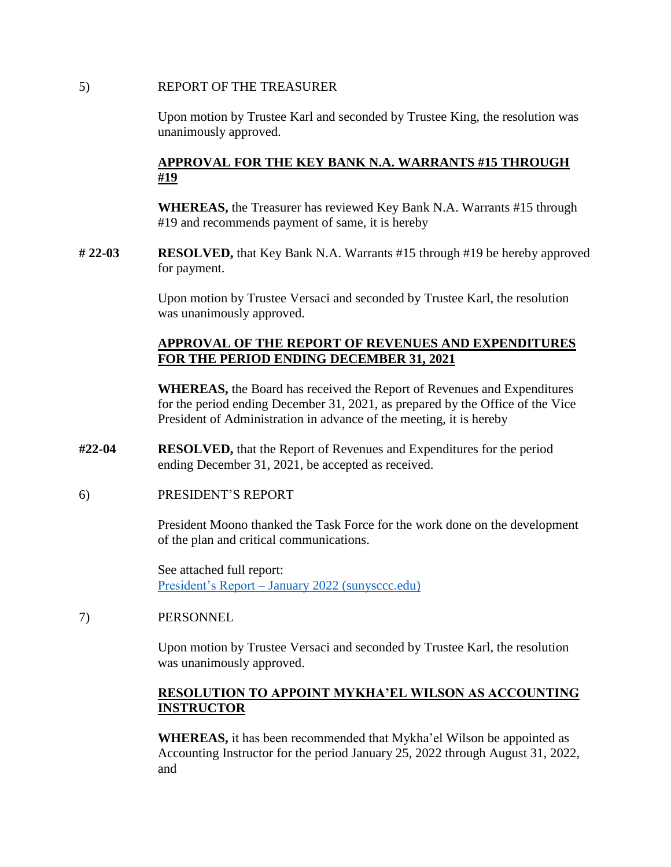#### 5) REPORT OF THE TREASURER

Upon motion by Trustee Karl and seconded by Trustee King, the resolution was unanimously approved.

# **APPROVAL FOR THE KEY BANK N.A. WARRANTS #15 THROUGH #19**

**WHEREAS,** the Treasurer has reviewed Key Bank N.A. Warrants #15 through #19 and recommends payment of same, it is hereby

**# 22-03 RESOLVED,** that Key Bank N.A. Warrants #15 through #19 be hereby approved for payment.

> Upon motion by Trustee Versaci and seconded by Trustee Karl, the resolution was unanimously approved.

## **APPROVAL OF THE REPORT OF REVENUES AND EXPENDITURES FOR THE PERIOD ENDING DECEMBER 31, 2021**

 for the period ending December 31, 2021, as prepared by the Office of the Vice **WHEREAS,** the Board has received the Report of Revenues and Expenditures President of Administration in advance of the meeting, it is hereby

- **#22-04 RESOLVED,** that the Report of Revenues and Expenditures for the period ending December 31, 2021, be accepted as received.
- 6) PRESIDENT'S REPORT

President Moono thanked the Task Force for the work done on the development of the plan and critical communications.

See attached full report: President's Report – [January 2022 \(sunysccc.edu\)](https://sunysccc.edu/PDF/About%20SCCC/CollegeLeadershipVision/PresidentsReport_1-2022.pdf) 

# 7) PERSONNEL

Upon motion by Trustee Versaci and seconded by Trustee Karl, the resolution was unanimously approved.

# **RESOLUTION TO APPOINT MYKHA'EL WILSON AS ACCOUNTING INSTRUCTOR**

**WHEREAS,** it has been recommended that Mykha'el Wilson be appointed as Accounting Instructor for the period January 25, 2022 through August 31, 2022, and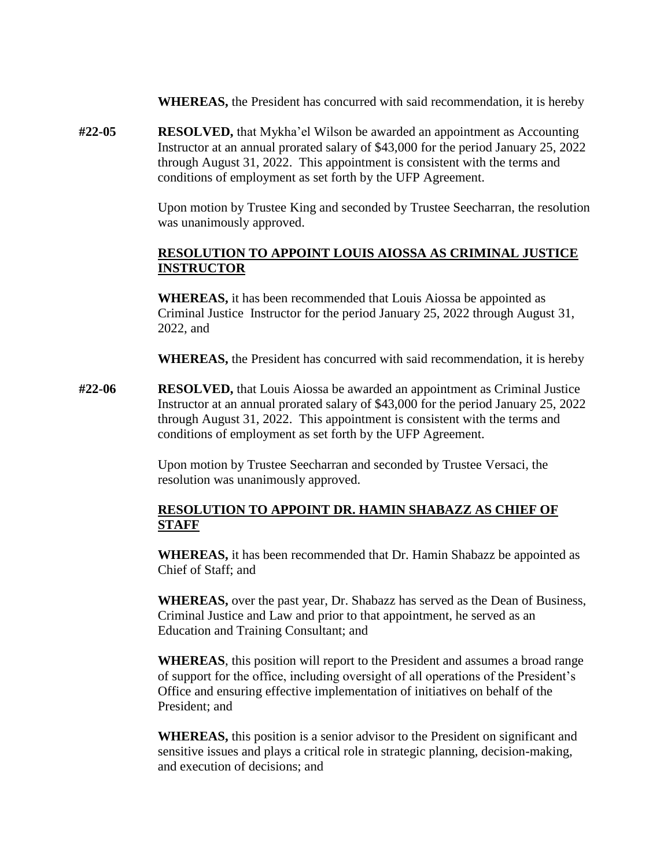**WHEREAS,** the President has concurred with said recommendation, it is hereby

**#22-05 RESOLVED,** that Mykha'el Wilson be awarded an appointment as Accounting Instructor at an annual prorated salary of \$43,000 for the period January 25, 2022 through August 31, 2022. This appointment is consistent with the terms and conditions of employment as set forth by the UFP Agreement.

> Upon motion by Trustee King and seconded by Trustee Seecharran, the resolution was unanimously approved.

## **RESOLUTION TO APPOINT LOUIS AIOSSA AS CRIMINAL JUSTICE INSTRUCTOR**

 Criminal Justice Instructor for the period January 25, 2022 through August 31, **WHEREAS,** it has been recommended that Louis Aiossa be appointed as 2022, and

**WHEREAS,** the President has concurred with said recommendation, it is hereby

**#22-06 RESOLVED,** that Louis Aiossa be awarded an appointment as Criminal Justice Instructor at an annual prorated salary of \$43,000 for the period January 25, 2022 through August 31, 2022. This appointment is consistent with the terms and conditions of employment as set forth by the UFP Agreement.

> Upon motion by Trustee Seecharran and seconded by Trustee Versaci, the resolution was unanimously approved.

## **RESOLUTION TO APPOINT DR. HAMIN SHABAZZ AS CHIEF OF STAFF**

**WHEREAS,** it has been recommended that Dr. Hamin Shabazz be appointed as Chief of Staff; and

**WHEREAS,** over the past year, Dr. Shabazz has served as the Dean of Business, Criminal Justice and Law and prior to that appointment, he served as an Education and Training Consultant; and

**WHEREAS**, this position will report to the President and assumes a broad range of support for the office, including oversight of all operations of the President's Office and ensuring effective implementation of initiatives on behalf of the President; and

**WHEREAS,** this position is a senior advisor to the President on significant and sensitive issues and plays a critical role in strategic planning, decision-making, and execution of decisions; and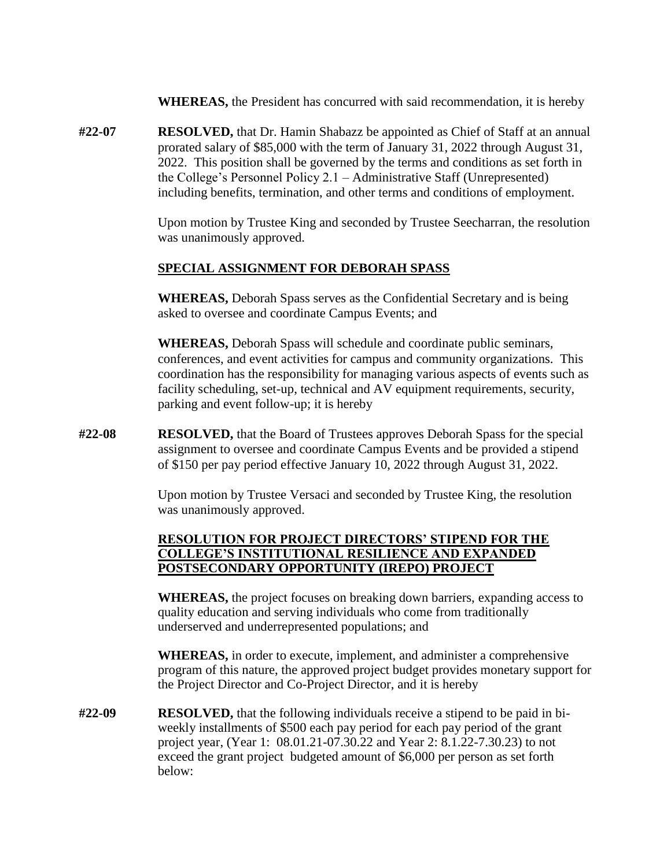**WHEREAS,** the President has concurred with said recommendation, it is hereby

**#22-07 RESOLVED,** that Dr. Hamin Shabazz be appointed as Chief of Staff at an annual prorated salary of \$85,000 with the term of January 31, 2022 through August 31, 2022. This position shall be governed by the terms and conditions as set forth in the College's Personnel Policy 2.1 – Administrative Staff (Unrepresented) including benefits, termination, and other terms and conditions of employment.

> Upon motion by Trustee King and seconded by Trustee Seecharran, the resolution was unanimously approved.

## **SPECIAL ASSIGNMENT FOR DEBORAH SPASS**

**WHEREAS,** Deborah Spass serves as the Confidential Secretary and is being asked to oversee and coordinate Campus Events; and

**WHEREAS,** Deborah Spass will schedule and coordinate public seminars, conferences, and event activities for campus and community organizations. This coordination has the responsibility for managing various aspects of events such as facility scheduling, set-up, technical and AV equipment requirements, security, parking and event follow-up; it is hereby

**#22-08 RESOLVED,** that the Board of Trustees approves Deborah Spass for the special assignment to oversee and coordinate Campus Events and be provided a stipend of \$150 per pay period effective January 10, 2022 through August 31, 2022.

> Upon motion by Trustee Versaci and seconded by Trustee King, the resolution was unanimously approved.

## **RESOLUTION FOR PROJECT DIRECTORS' STIPEND FOR THE COLLEGE'S INSTITUTIONAL RESILIENCE AND EXPANDED POSTSECONDARY OPPORTUNITY (IREPO) PROJECT**

**WHEREAS,** the project focuses on breaking down barriers, expanding access to quality education and serving individuals who come from traditionally underserved and underrepresented populations; and

**WHEREAS,** in order to execute, implement, and administer a comprehensive program of this nature, the approved project budget provides monetary support for the Project Director and Co-Project Director, and it is hereby

**#22-09 RESOLVED,** that the following individuals receive a stipend to be paid in biweekly installments of \$500 each pay period for each pay period of the grant project year, (Year 1: [08.01.21-07.30.22](https://08.01.21-07.30.22) and Year 2: [8.1.22-7.30.23\)](https://8.1.22-7.30.23) to not exceed the grant project budgeted amount of \$6,000 per person as set forth below: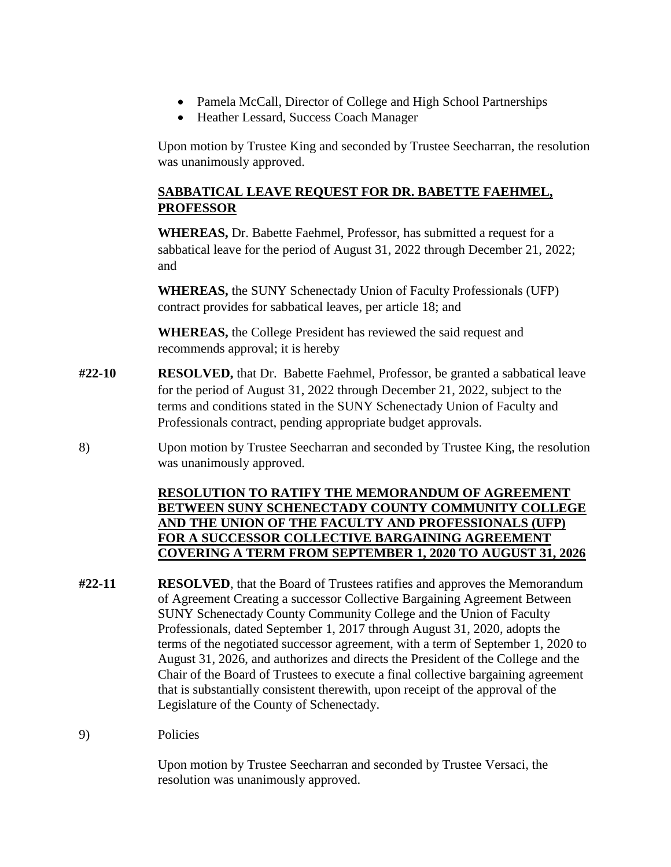- Pamela McCall, Director of College and High School Partnerships
- Heather Lessard, Success Coach Manager

Upon motion by Trustee King and seconded by Trustee Seecharran, the resolution was unanimously approved.

# **SABBATICAL LEAVE REQUEST FOR DR. BABETTE FAEHMEL, PROFESSOR**

 **WHEREAS,** Dr. Babette Faehmel, Professor, has submitted a request for a sabbatical leave for the period of August 31, 2022 through December 21, 2022; and

**WHEREAS,** the SUNY Schenectady Union of Faculty Professionals (UFP) contract provides for sabbatical leaves, per article 18; and

**WHEREAS,** the College President has reviewed the said request and recommends approval; it is hereby

- **#22-10 RESOLVED,** that Dr. Babette Faehmel, Professor, be granted a sabbatical leave for the period of August 31, 2022 through December 21, 2022, subject to the terms and conditions stated in the SUNY Schenectady Union of Faculty and Professionals contract, pending appropriate budget approvals.
- 8) Upon motion by Trustee Seecharran and seconded by Trustee King, the resolution was unanimously approved.

# **RESOLUTION TO RATIFY THE MEMORANDUM OF AGREEMENT BETWEEN SUNY SCHENECTADY COUNTY COMMUNITY COLLEGE AND THE UNION OF THE FACULTY AND PROFESSIONALS (UFP) FOR A SUCCESSOR COLLECTIVE BARGAINING AGREEMENT COVERING A TERM FROM SEPTEMBER 1, 2020 TO AUGUST 31, 2026**

- **#22-11 RESOLVED**, that the Board of Trustees ratifies and approves the Memorandum of Agreement Creating a successor Collective Bargaining Agreement Between SUNY Schenectady County Community College and the Union of Faculty Professionals, dated September 1, 2017 through August 31, 2020, adopts the terms of the negotiated successor agreement, with a term of September 1, 2020 to August 31, 2026, and authorizes and directs the President of the College and the Chair of the Board of Trustees to execute a final collective bargaining agreement that is substantially consistent therewith, upon receipt of the approval of the Legislature of the County of Schenectady.
- 9) Policies

Upon motion by Trustee Seecharran and seconded by Trustee Versaci, the resolution was unanimously approved.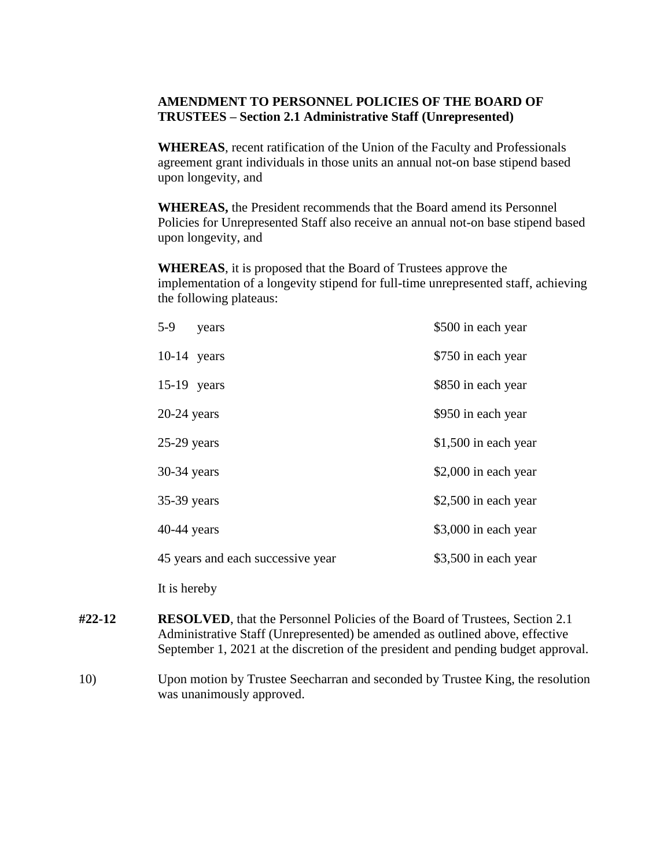## **AMENDMENT TO PERSONNEL POLICIES OF THE BOARD OF TRUSTEES – Section 2.1 Administrative Staff (Unrepresented)**

**WHEREAS**, recent ratification of the Union of the Faculty and Professionals agreement grant individuals in those units an annual not-on base stipend based upon longevity, and

**WHEREAS,** the President recommends that the Board amend its Personnel Policies for Unrepresented Staff also receive an annual not-on base stipend based upon longevity, and

**WHEREAS**, it is proposed that the Board of Trustees approve the implementation of a longevity stipend for full-time unrepresented staff, achieving the following plateaus:

| $5-9$<br>years                    | \$500 in each year    |
|-----------------------------------|-----------------------|
| $10-14$ years                     | \$750 in each year    |
| $15-19$ years                     | \$850 in each year    |
| $20-24$ years                     | \$950 in each year    |
| $25-29$ years                     | $$1,500$ in each year |
| 30-34 years                       | \$2,000 in each year  |
| $35-39$ years                     | \$2,500 in each year  |
| $40-44$ years                     | \$3,000 in each year  |
| 45 years and each successive year | \$3,500 in each year  |
|                                   |                       |

It is hereby

- **#22-12** RESOLVED, that the Personnel Policies of the Board of Trustees, Section 2.1 Administrative Staff (Unrepresented) be amended as outlined above, effective September 1, 2021 at the discretion of the president and pending budget approval.
- 10) Upon motion by Trustee Seecharran and seconded by Trustee King, the resolution was unanimously approved.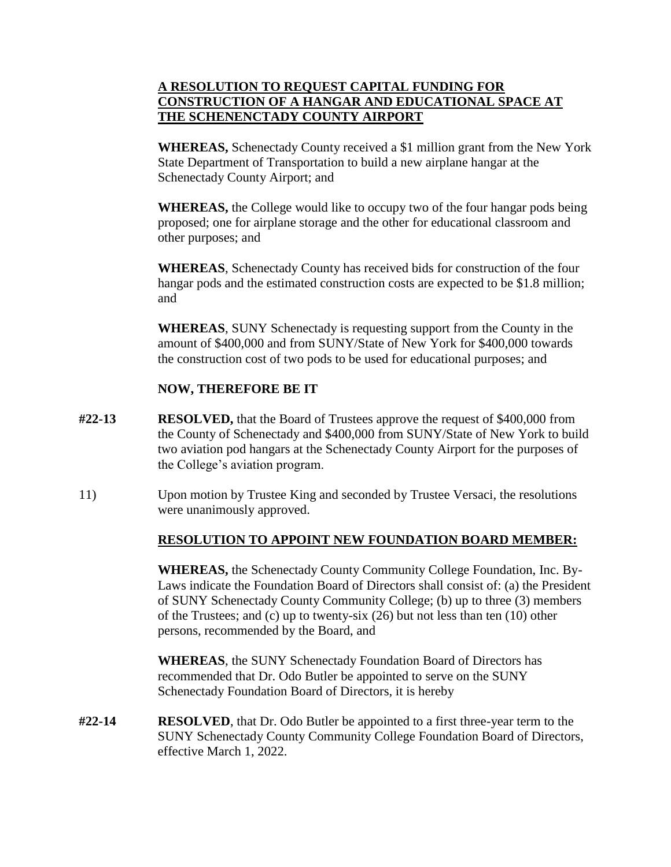# **A RESOLUTION TO REQUEST CAPITAL FUNDING FOR CONSTRUCTION OF A HANGAR AND EDUCATIONAL SPACE AT THE SCHENENCTADY COUNTY AIRPORT**

**WHEREAS,** Schenectady County received a \$1 million grant from the New York State Department of Transportation to build a new airplane hangar at the Schenectady County Airport; and

**WHEREAS,** the College would like to occupy two of the four hangar pods being proposed; one for airplane storage and the other for educational classroom and other purposes; and

**WHEREAS**, Schenectady County has received bids for construction of the four hangar pods and the estimated construction costs are expected to be \$1.8 million; and

**WHEREAS**, SUNY Schenectady is requesting support from the County in the amount of \$400,000 and from SUNY/State of New York for \$400,000 towards the construction cost of two pods to be used for educational purposes; and

# **NOW, THEREFORE BE IT**

- **#22-13 RESOLVED,** that the Board of Trustees approve the request of \$400,000 from the County of Schenectady and \$400,000 from SUNY/State of New York to build two aviation pod hangars at the Schenectady County Airport for the purposes of the College's aviation program.
- 11) Upon motion by Trustee King and seconded by Trustee Versaci, the resolutions were unanimously approved.

# **RESOLUTION TO APPOINT NEW FOUNDATION BOARD MEMBER:**

 **RESOLUTION TO APPOINT NEW FOUNDATION BOARD MEMBER: WHEREAS,** the Schenectady County Community College Foundation, Inc. By-Laws indicate the Foundation Board of Directors shall consist of: (a) the President of SUNY Schenectady County Community College; (b) up to three (3) members of the Trustees; and (c) up to twenty-six (26) but not less than ten (10) other persons, recommended by the Board, and

**WHEREAS**, the SUNY Schenectady Foundation Board of Directors has recommended that Dr. Odo Butler be appointed to serve on the SUNY Schenectady Foundation Board of Directors, it is hereby

**#22-14 RESOLVED**, that Dr. Odo Butler be appointed to a first three-year term to the SUNY Schenectady County Community College Foundation Board of Directors, effective March 1, 2022.